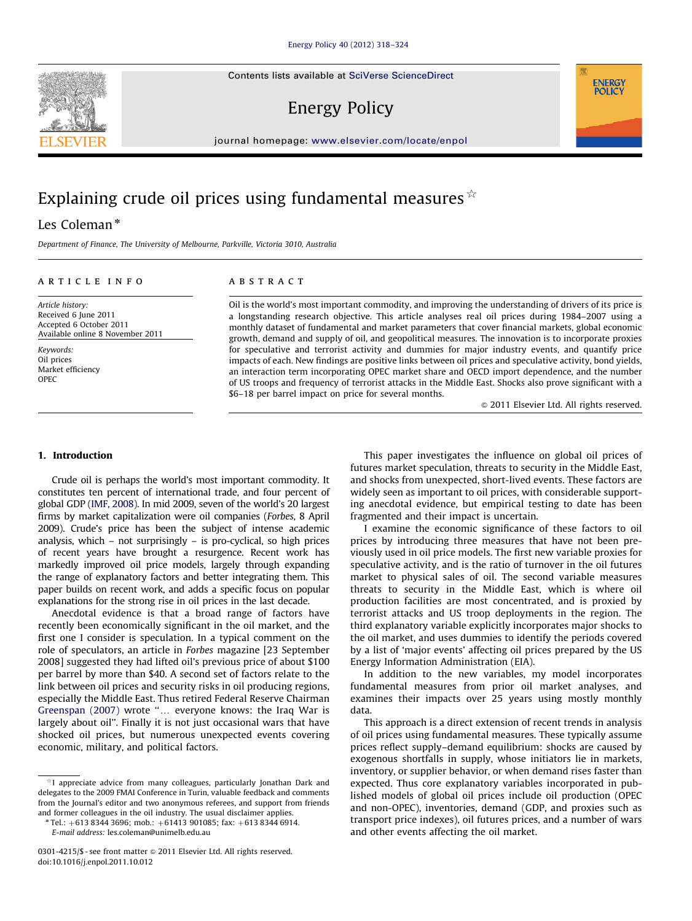Contents lists available at [SciVerse ScienceDirect](www.elsevier.com/locate/enpol)

Energy Policy

journal homepage: <www.elsevier.com/locate/enpol>

## Explaining crude oil prices using fundamental measures  $\dot{\alpha}$

### Les Coleman\*

Department of Finance, The University of Melbourne, Parkville, Victoria 3010, Australia

#### article info

Article history: Received 6 June 2011 Accepted 6 October 2011 Available online 8 November 2011

Keywords: Oil prices Market efficiency OPEC

#### **ABSTRACT**

Oil is the world's most important commodity, and improving the understanding of drivers of its price is a longstanding research objective. This article analyses real oil prices during 1984–2007 using a monthly dataset of fundamental and market parameters that cover financial markets, global economic growth, demand and supply of oil, and geopolitical measures. The innovation is to incorporate proxies for speculative and terrorist activity and dummies for major industry events, and quantify price impacts of each. New findings are positive links between oil prices and speculative activity, bond yields, an interaction term incorporating OPEC market share and OECD import dependence, and the number of US troops and frequency of terrorist attacks in the Middle East. Shocks also prove significant with a \$6–18 per barrel impact on price for several months.

 $@$  2011 Elsevier Ltd. All rights reserved.

**ENERGY POLICY** 

#### 1. Introduction

Crude oil is perhaps the world's most important commodity. It constitutes ten percent of international trade, and four percent of global GDP ([IMF, 2008](#page--1-0)). In mid 2009, seven of the world's 20 largest firms by market capitalization were oil companies (Forbes, 8 April 2009). Crude's price has been the subject of intense academic analysis, which – not surprisingly – is pro-cyclical, so high prices of recent years have brought a resurgence. Recent work has markedly improved oil price models, largely through expanding the range of explanatory factors and better integrating them. This paper builds on recent work, and adds a specific focus on popular explanations for the strong rise in oil prices in the last decade.

Anecdotal evidence is that a broad range of factors have recently been economically significant in the oil market, and the first one I consider is speculation. In a typical comment on the role of speculators, an article in Forbes magazine [23 September 2008] suggested they had lifted oil's previous price of about \$100 per barrel by more than \$40. A second set of factors relate to the link between oil prices and security risks in oil producing regions, especially the Middle East. Thus retired Federal Reserve Chairman [Greenspan \(2007\)](#page--1-0) wrote "... everyone knows: the Iraq War is largely about oil''. Finally it is not just occasional wars that have shocked oil prices, but numerous unexpected events covering economic, military, and political factors.

Tel.: +613 8344 3696; mob.: +61413 901085; fax: +613 8344 6914.

This paper investigates the influence on global oil prices of futures market speculation, threats to security in the Middle East, and shocks from unexpected, short-lived events. These factors are widely seen as important to oil prices, with considerable supporting anecdotal evidence, but empirical testing to date has been fragmented and their impact is uncertain.

I examine the economic significance of these factors to oil prices by introducing three measures that have not been previously used in oil price models. The first new variable proxies for speculative activity, and is the ratio of turnover in the oil futures market to physical sales of oil. The second variable measures threats to security in the Middle East, which is where oil production facilities are most concentrated, and is proxied by terrorist attacks and US troop deployments in the region. The third explanatory variable explicitly incorporates major shocks to the oil market, and uses dummies to identify the periods covered by a list of 'major events' affecting oil prices prepared by the US Energy Information Administration (EIA).

In addition to the new variables, my model incorporates fundamental measures from prior oil market analyses, and examines their impacts over 25 years using mostly monthly data.

This approach is a direct extension of recent trends in analysis of oil prices using fundamental measures. These typically assume prices reflect supply–demand equilibrium: shocks are caused by exogenous shortfalls in supply, whose initiators lie in markets, inventory, or supplier behavior, or when demand rises faster than expected. Thus core explanatory variables incorporated in published models of global oil prices include oil production (OPEC and non-OPEC), inventories, demand (GDP, and proxies such as transport price indexes), oil futures prices, and a number of wars and other events affecting the oil market.



 $*$ I appreciate advice from many colleagues, particularly Jonathan Dark and delegates to the 2009 FMAI Conference in Turin, valuable feedback and comments from the Journal's editor and two anonymous referees, and support from friends and former colleagues in the oil industry. The usual disclaimer applies.

E-mail address: [les.coleman@unimelb.edu.au](mailto:les.coleman@unimelb.edu.au)

<sup>0301-4215/\$ -</sup> see front matter  $\odot$  2011 Elsevier Ltd. All rights reserved. doi:[10.1016/j.enpol.2011.10.012](dx.doi.org/10.1016/j.enpol.2011.10.012)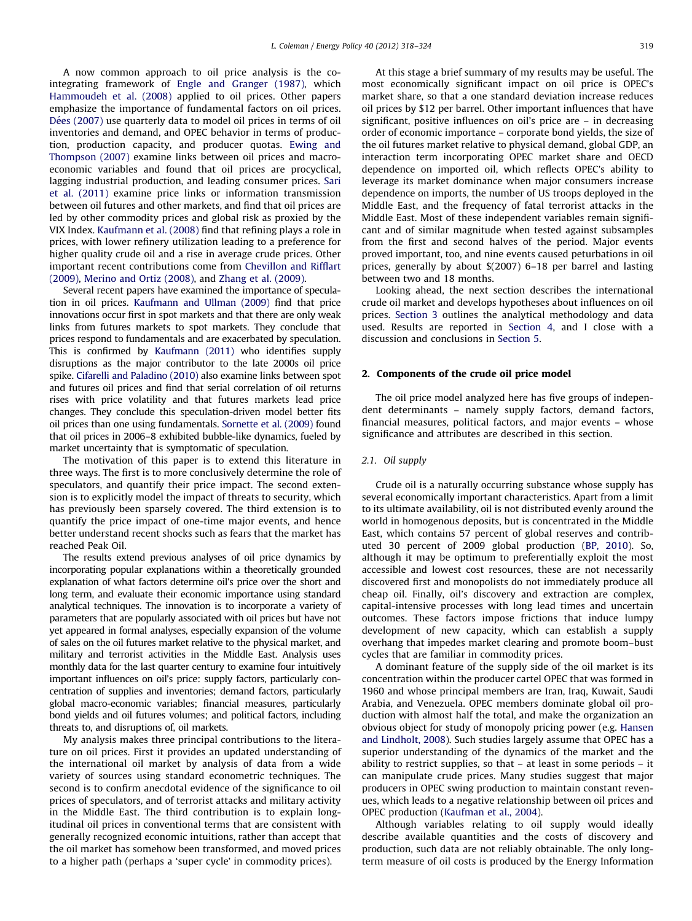A now common approach to oil price analysis is the cointegrating framework of [Engle and Granger \(1987\)](#page--1-0), which [Hammoudeh et al. \(2008\)](#page--1-0) applied to oil prices. Other papers emphasize the importance of fundamental factors on oil prices. Dées (2007) use quarterly data to model oil prices in terms of oil inventories and demand, and OPEC behavior in terms of production, production capacity, and producer quotas. [Ewing and](#page--1-0) [Thompson \(2007\)](#page--1-0) examine links between oil prices and macroeconomic variables and found that oil prices are procyclical, lagging industrial production, and leading consumer prices. [Sari](#page--1-0) [et al. \(2011\)](#page--1-0) examine price links or information transmission between oil futures and other markets, and find that oil prices are led by other commodity prices and global risk as proxied by the VIX Index. [Kaufmann et al. \(2008\)](#page--1-0) find that refining plays a role in prices, with lower refinery utilization leading to a preference for higher quality crude oil and a rise in average crude prices. Other important recent contributions come from [Chevillon and Rifflart](#page--1-0) [\(2009\),](#page--1-0) [Merino and Ortiz \(2008\),](#page--1-0) and [Zhang et al. \(2009\).](#page--1-0)

Several recent papers have examined the importance of speculation in oil prices. [Kaufmann and Ullman \(2009\)](#page--1-0) find that price innovations occur first in spot markets and that there are only weak links from futures markets to spot markets. They conclude that prices respond to fundamentals and are exacerbated by speculation. This is confirmed by [Kaufmann \(2011\)](#page--1-0) who identifies supply disruptions as the major contributor to the late 2000s oil price spike. [Cifarelli and Paladino \(2010\)](#page--1-0) also examine links between spot and futures oil prices and find that serial correlation of oil returns rises with price volatility and that futures markets lead price changes. They conclude this speculation-driven model better fits oil prices than one using fundamentals. [Sornette et al. \(2009\)](#page--1-0) found that oil prices in 2006–8 exhibited bubble-like dynamics, fueled by market uncertainty that is symptomatic of speculation.

The motivation of this paper is to extend this literature in three ways. The first is to more conclusively determine the role of speculators, and quantify their price impact. The second extension is to explicitly model the impact of threats to security, which has previously been sparsely covered. The third extension is to quantify the price impact of one-time major events, and hence better understand recent shocks such as fears that the market has reached Peak Oil.

The results extend previous analyses of oil price dynamics by incorporating popular explanations within a theoretically grounded explanation of what factors determine oil's price over the short and long term, and evaluate their economic importance using standard analytical techniques. The innovation is to incorporate a variety of parameters that are popularly associated with oil prices but have not yet appeared in formal analyses, especially expansion of the volume of sales on the oil futures market relative to the physical market, and military and terrorist activities in the Middle East. Analysis uses monthly data for the last quarter century to examine four intuitively important influences on oil's price: supply factors, particularly concentration of supplies and inventories; demand factors, particularly global macro-economic variables; financial measures, particularly bond yields and oil futures volumes; and political factors, including threats to, and disruptions of, oil markets.

My analysis makes three principal contributions to the literature on oil prices. First it provides an updated understanding of the international oil market by analysis of data from a wide variety of sources using standard econometric techniques. The second is to confirm anecdotal evidence of the significance to oil prices of speculators, and of terrorist attacks and military activity in the Middle East. The third contribution is to explain longitudinal oil prices in conventional terms that are consistent with generally recognized economic intuitions, rather than accept that the oil market has somehow been transformed, and moved prices to a higher path (perhaps a 'super cycle' in commodity prices).

At this stage a brief summary of my results may be useful. The most economically significant impact on oil price is OPEC's market share, so that a one standard deviation increase reduces oil prices by \$12 per barrel. Other important influences that have significant, positive influences on oil's price are – in decreasing order of economic importance – corporate bond yields, the size of the oil futures market relative to physical demand, global GDP, an interaction term incorporating OPEC market share and OECD dependence on imported oil, which reflects OPEC's ability to leverage its market dominance when major consumers increase dependence on imports, the number of US troops deployed in the Middle East, and the frequency of fatal terrorist attacks in the Middle East. Most of these independent variables remain significant and of similar magnitude when tested against subsamples from the first and second halves of the period. Major events proved important, too, and nine events caused peturbations in oil prices, generally by about \$(2007) 6–18 per barrel and lasting between two and 18 months.

Looking ahead, the next section describes the international crude oil market and develops hypotheses about influences on oil prices. [Section 3](#page--1-0) outlines the analytical methodology and data used. Results are reported in [Section 4,](#page--1-0) and I close with a discussion and conclusions in [Section 5](#page--1-0).

#### 2. Components of the crude oil price model

The oil price model analyzed here has five groups of independent determinants – namely supply factors, demand factors, financial measures, political factors, and major events – whose significance and attributes are described in this section.

#### 2.1. Oil supply

Crude oil is a naturally occurring substance whose supply has several economically important characteristics. Apart from a limit to its ultimate availability, oil is not distributed evenly around the world in homogenous deposits, but is concentrated in the Middle East, which contains 57 percent of global reserves and contributed 30 percent of 2009 global production [\(BP, 2010\)](#page--1-0). So, although it may be optimum to preferentially exploit the most accessible and lowest cost resources, these are not necessarily discovered first and monopolists do not immediately produce all cheap oil. Finally, oil's discovery and extraction are complex, capital-intensive processes with long lead times and uncertain outcomes. These factors impose frictions that induce lumpy development of new capacity, which can establish a supply overhang that impedes market clearing and promote boom–bust cycles that are familiar in commodity prices.

A dominant feature of the supply side of the oil market is its concentration within the producer cartel OPEC that was formed in 1960 and whose principal members are Iran, Iraq, Kuwait, Saudi Arabia, and Venezuela. OPEC members dominate global oil production with almost half the total, and make the organization an obvious object for study of monopoly pricing power (e.g. [Hansen](#page--1-0) [and Lindholt, 2008\)](#page--1-0). Such studies largely assume that OPEC has a superior understanding of the dynamics of the market and the ability to restrict supplies, so that – at least in some periods – it can manipulate crude prices. Many studies suggest that major producers in OPEC swing production to maintain constant revenues, which leads to a negative relationship between oil prices and OPEC production ([Kaufman et al., 2004\)](#page--1-0).

Although variables relating to oil supply would ideally describe available quantities and the costs of discovery and production, such data are not reliably obtainable. The only longterm measure of oil costs is produced by the Energy Information